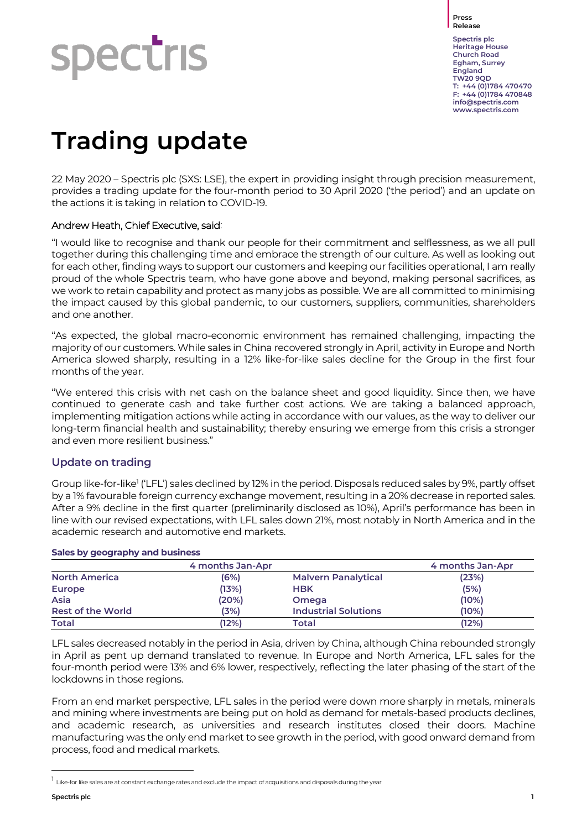**Press Release**

# **Spectris**

**Spectris plc Heritage House Church Road Egham, Surrey England TW20 9QD T: +44 (0)1784 470470 F: +44 (0)1784 470848 [info@spectris.com](mailto:info@spectris.com) www.spectris.com**

# **Trading update**

22 May 2020 – Spectris plc (SXS: LSE), the expert in providing insight through precision measurement, provides a trading update for the four-month period to 30 April 2020 ('the period') and an update on the actions it is taking in relation to COVID-19.

# Andrew Heath, Chief Executive, said:

"I would like to recognise and thank our people for their commitment and selflessness, as we all pull together during this challenging time and embrace the strength of our culture. As well as looking out for each other, finding ways to support our customers and keeping our facilities operational, I am really proud of the whole Spectris team, who have gone above and beyond, making personal sacrifices, as we work to retain capability and protect as many jobs as possible. We are all committed to minimising the impact caused by this global pandemic, to our customers, suppliers, communities, shareholders and one another.

"As expected, the global macro-economic environment has remained challenging, impacting the majority of our customers. While sales in China recovered strongly in April, activity in Europe and North America slowed sharply, resulting in a 12% like-for-like sales decline for the Group in the first four months of the year.

"We entered this crisis with net cash on the balance sheet and good liquidity. Since then, we have continued to generate cash and take further cost actions. We are taking a balanced approach, implementing mitigation actions while acting in accordance with our values, as the way to deliver our long-term financial health and sustainability; thereby ensuring we emerge from this crisis a stronger and even more resilient business."

# **Update on trading**

Group like-for-like<sup>1</sup> ('LFL') sales declined by 12% in the period. Disposals reduced sales by 9%, partly offset by a 1% favourable foreign currency exchange movement, resulting in a 20% decrease in reported sales. After a 9% decline in the first quarter (preliminarily disclosed as 10%), April's performance has been in line with our revised expectations, with LFL sales down 21%, most notably in North America and in the academic research and automotive end markets.

|                          | 4 months Jan-Apr |                             | 4 months Jan-Apr |
|--------------------------|------------------|-----------------------------|------------------|
| <b>North America</b>     | (6%)             | <b>Malvern Panalytical</b>  | (23%)            |
| Europe                   | (13%)            | <b>HBK</b>                  | (5%)             |
| Asia                     | (20%)            | <b>Omega</b>                | (10%)            |
| <b>Rest of the World</b> | (3%)             | <b>Industrial Solutions</b> | (10%)            |
| <b>Total</b>             | (12%)            | Total                       | (12%)            |

### **Sales by geography and business**

LFL sales decreased notably in the period in Asia, driven by China, although China rebounded strongly in April as pent up demand translated to revenue. In Europe and North America, LFL sales for the four-month period were 13% and 6% lower, respectively, reflecting the later phasing of the start of the lockdowns in those regions.

From an end market perspective, LFL sales in the period were down more sharply in metals, minerals and mining where investments are being put on hold as demand for metals-based products declines, and academic research, as universities and research institutes closed their doors. Machine manufacturing was the only end market to see growth in the period, with good onward demand from process, food and medical markets.

<sup>1</sup> Like-for like sales are at constant exchange rates and exclude the impact of acquisitions and disposals during the year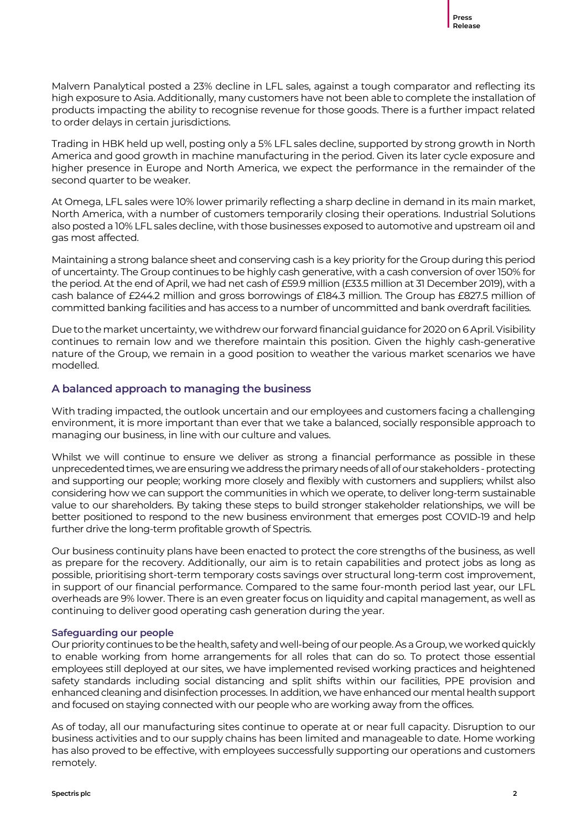Malvern Panalytical posted a 23% decline in LFL sales, against a tough comparator and reflecting its high exposure to Asia. Additionally, many customers have not been able to complete the installation of products impacting the ability to recognise revenue for those goods. There is a further impact related to order delays in certain jurisdictions.

Trading in HBK held up well, posting only a 5% LFL sales decline, supported by strong growth in North America and good growth in machine manufacturing in the period. Given its later cycle exposure and higher presence in Europe and North America, we expect the performance in the remainder of the second quarter to be weaker.

At Omega, LFL sales were 10% lower primarily reflecting a sharp decline in demand in its main market, North America, with a number of customers temporarily closing their operations. Industrial Solutions also posted a 10% LFL sales decline, with those businesses exposed to automotive and upstream oil and gas most affected.

Maintaining a strong balance sheet and conserving cash is a key priority for the Group during this period of uncertainty. The Group continues to be highly cash generative, with a cash conversion of over 150% for the period. At the end of April, we had net cash of £59.9 million (£33.5 million at 31 December 2019), with a cash balance of £244.2 million and gross borrowings of £184.3 million. The Group has £827.5 million of committed banking facilities and has access to a number of uncommitted and bank overdraft facilities.

Due to the market uncertainty, we withdrew our forward financial guidance for 2020 on 6 April.Visibility continues to remain low and we therefore maintain this position. Given the highly cash-generative nature of the Group, we remain in a good position to weather the various market scenarios we have modelled.

# **A balanced approach to managing the business**

With trading impacted, the outlook uncertain and our employees and customers facing a challenging environment, it is more important than ever that we take a balanced, socially responsible approach to managing our business, in line with our culture and values.

Whilst we will continue to ensure we deliver as strong a financial performance as possible in these unprecedented times, we are ensuring we address the primary needs of all of our stakeholders - protecting and supporting our people; working more closely and flexibly with customers and suppliers; whilst also considering how we can support the communities in which we operate, to deliver long-term sustainable value to our shareholders. By taking these steps to build stronger stakeholder relationships, we will be better positioned to respond to the new business environment that emerges post COVID-19 and help further drive the long-term profitable growth of Spectris.

Our business continuity plans have been enacted to protect the core strengths of the business, as well as prepare for the recovery. Additionally, our aim is to retain capabilities and protect jobs as long as possible, prioritising short-term temporary costs savings over structural long-term cost improvement, in support of our financial performance. Compared to the same four-month period last year, our LFL overheads are 9% lower. There is an even greater focus on liquidity and capital management, as well as continuing to deliver good operating cash generation during the year.

#### **Safeguarding our people**

Our priority continues to be the health, safety and well-being of our people. As a Group, we worked quickly to enable working from home arrangements for all roles that can do so. To protect those essential employees still deployed at our sites, we have implemented revised working practices and heightened safety standards including social distancing and split shifts within our facilities, PPE provision and enhanced cleaning and disinfection processes. In addition, wehave enhanced our mental health support and focused on staying connected with our people who are working away from the offices.

As of today, all our manufacturing sites continue to operate at or near full capacity. Disruption to our business activities and to our supply chains has been limited and manageable to date. Home working has also proved to be effective, with employees successfully supporting our operations and customers remotely.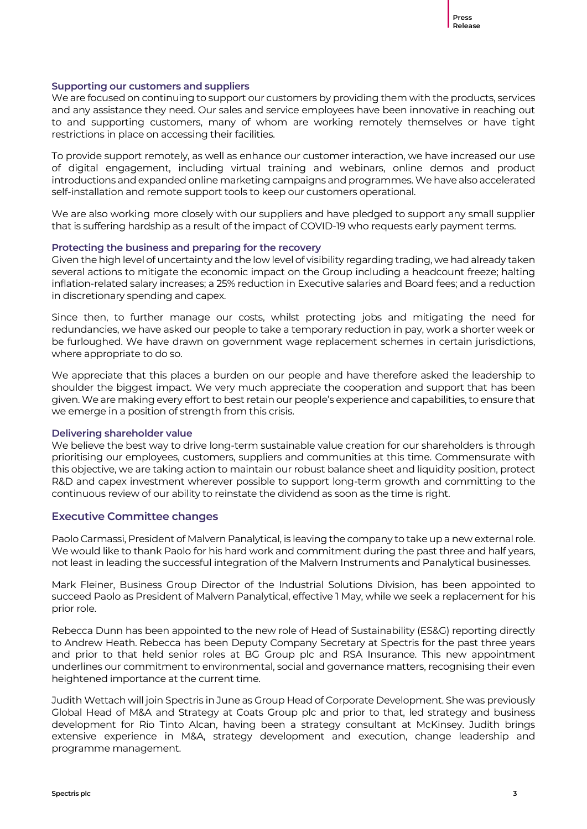#### **Supporting our customers and suppliers**

We are focused on continuing to support our customers by providing them with the products, services and any assistance they need. Our sales and service employees have been innovative in reaching out to and supporting customers, many of whom are working remotely themselves or have tight restrictions in place on accessing their facilities.

To provide support remotely, as well as enhance our customer interaction, we have increased our use of digital engagement, including virtual training and webinars, online demos and product introductions and expanded online marketing campaigns and programmes. We have also accelerated self-installation and remote support tools to keep our customers operational.

We are also working more closely with our suppliers and have pledged to support any small supplier that is suffering hardship as a result of the impact of COVID-19 who requests early payment terms.

#### **Protecting the business and preparing for the recovery**

Given the high level of uncertainty and the low level of visibility regarding trading, we had already taken several actions to mitigate the economic impact on the Group including a headcount freeze; halting inflation-related salary increases; a 25% reduction in Executive salaries and Board fees; and a reduction in discretionary spending and capex.

Since then, to further manage our costs, whilst protecting jobs and mitigating the need for redundancies, we have asked our people to take a temporary reduction in pay, work a shorter week or be furloughed. We have drawn on government wage replacement schemes in certain jurisdictions, where appropriate to do so.

We appreciate that this places a burden on our people and have therefore asked the leadership to shoulder the biggest impact. We very much appreciate the cooperation and support that has been given. We are making every effort to best retain our people's experience and capabilities, to ensure that we emerge in a position of strength from this crisis.

#### **Delivering shareholder value**

We believe the best way to drive long-term sustainable value creation for our shareholders is through prioritising our employees, customers, suppliers and communities at this time. Commensurate with this objective, we are taking action to maintain our robust balance sheet and liquidity position, protect R&D and capex investment wherever possible to support long-term growth and committing to the continuous review of our ability to reinstate the dividend as soon as the time is right.

#### **Executive Committee changes**

Paolo Carmassi, President of Malvern Panalytical, is leaving the company to take up a new external role. We would like to thank Paolo for his hard work and commitment during the past three and half years, not least in leading the successful integration of the Malvern Instruments and Panalytical businesses.

Mark Fleiner, Business Group Director of the Industrial Solutions Division, has been appointed to succeed Paolo as President of Malvern Panalytical, effective 1 May, while we seek a replacement for his prior role.

Rebecca Dunn has been appointed to the new role of Head of Sustainability (ES&G) reporting directly to Andrew Heath. Rebecca has been Deputy Company Secretary at Spectris for the past three years and prior to that held senior roles at BG Group plc and RSA Insurance. This new appointment underlines our commitment to environmental, social and governance matters, recognising their even heightened importance at the current time.

Judith Wettach will join Spectris in June as Group Head of Corporate Development. She was previously Global Head of M&A and Strategy at Coats Group plc and prior to that, led strategy and business development for Rio Tinto Alcan, having been a strategy consultant at McKinsey. Judith brings extensive experience in M&A, strategy development and execution, change leadership and programme management.